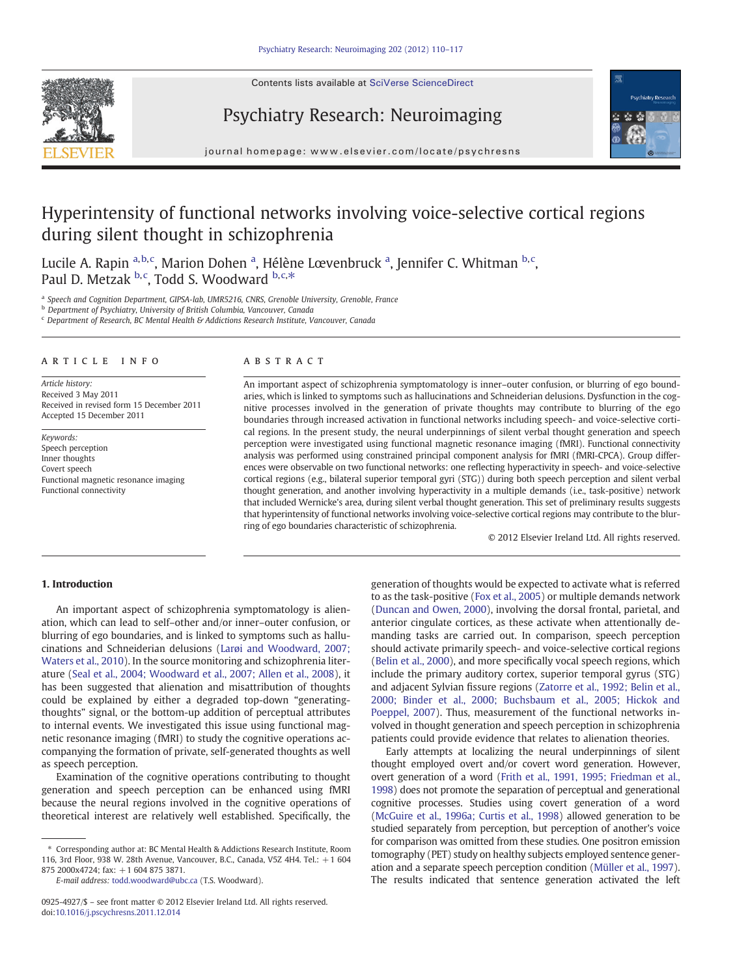Contents lists available at SciVerse ScienceDirect







journal homepage: www.elsevier.com/locate/psychresns

# Hyperintensity of functional networks involving voice-selective cortical regions during silent thought in schizophrenia

Lucile A. Rapin <sup>a, b, c</sup>, Marion Dohen <sup>a</sup>, Hélène Lœvenbruck <sup>a</sup>, Jennifer C. Whitman <sup>b, c</sup>, Paul D. Metzak <sup>b, c</sup>, Todd S. Woodward <sup>b, c,\*</sup>

<sup>a</sup> Speech and Cognition Department, GIPSA-lab, UMR5216, CNRS, Grenoble University, Grenoble, France

<sup>b</sup> Department of Psychiatry, University of British Columbia, Vancouver, Canada

 $c$  Department of Research, BC Mental Health & Addictions Research Institute, Vancouver, Canada

# article info abstract

Article history: Received 3 May 2011 Received in revised form 15 December 2011 Accepted 15 December 2011

Keywords: Speech perception Inner thoughts Covert speech Functional magnetic resonance imaging Functional connectivity

An important aspect of schizophrenia symptomatology is inner–outer confusion, or blurring of ego boundaries, which is linked to symptoms such as hallucinations and Schneiderian delusions. Dysfunction in the cognitive processes involved in the generation of private thoughts may contribute to blurring of the ego boundaries through increased activation in functional networks including speech- and voice-selective cortical regions. In the present study, the neural underpinnings of silent verbal thought generation and speech perception were investigated using functional magnetic resonance imaging (fMRI). Functional connectivity analysis was performed using constrained principal component analysis for fMRI (fMRI-CPCA). Group differences were observable on two functional networks: one reflecting hyperactivity in speech- and voice-selective cortical regions (e.g., bilateral superior temporal gyri (STG)) during both speech perception and silent verbal thought generation, and another involving hyperactivity in a multiple demands (i.e., task-positive) network that included Wernicke's area, during silent verbal thought generation. This set of preliminary results suggests that hyperintensity of functional networks involving voice-selective cortical regions may contribute to the blurring of ego boundaries characteristic of schizophrenia.

© 2012 Elsevier Ireland Ltd. All rights reserved.

# 1. Introduction

An important aspect of schizophrenia symptomatology is alienation, which can lead to self–other and/or inner–outer confusion, or blurring of ego boundaries, and is linked to symptoms such as hallucinations and Schneiderian delusions [\(Larøi and Woodward, 2007;](#page-7-0) [Waters et al., 2010\)](#page-7-0). In the source monitoring and schizophrenia literature ([Seal et al., 2004; Woodward et al., 2007; Allen et al., 2008\)](#page-7-0), it has been suggested that alienation and misattribution of thoughts could be explained by either a degraded top-down "generatingthoughts" signal, or the bottom-up addition of perceptual attributes to internal events. We investigated this issue using functional magnetic resonance imaging (fMRI) to study the cognitive operations accompanying the formation of private, self-generated thoughts as well as speech perception.

Examination of the cognitive operations contributing to thought generation and speech perception can be enhanced using fMRI because the neural regions involved in the cognitive operations of theoretical interest are relatively well established. Specifically, the

E-mail address: [todd.woodward@ubc.ca](mailto:todd.woodward@ubc.ca) (T.S. Woodward).

generation of thoughts would be expected to activate what is referred to as the task-positive [\(Fox et al., 2005\)](#page-7-0) or multiple demands network [\(Duncan and Owen, 2000](#page-7-0)), involving the dorsal frontal, parietal, and anterior cingulate cortices, as these activate when attentionally demanding tasks are carried out. In comparison, speech perception should activate primarily speech- and voice-selective cortical regions [\(Belin et al., 2000](#page-7-0)), and more specifically vocal speech regions, which include the primary auditory cortex, superior temporal gyrus (STG) and adjacent Sylvian fissure regions ([Zatorre et al., 1992; Belin et al.,](#page-7-0) [2000; Binder et al., 2000; Buchsbaum et al., 2005; Hickok and](#page-7-0) [Poeppel, 2007](#page-7-0)). Thus, measurement of the functional networks involved in thought generation and speech perception in schizophrenia patients could provide evidence that relates to alienation theories.

Early attempts at localizing the neural underpinnings of silent thought employed overt and/or covert word generation. However, overt generation of a word [\(Frith et al., 1991, 1995; Friedman et al.,](#page-7-0) [1998\)](#page-7-0) does not promote the separation of perceptual and generational cognitive processes. Studies using covert generation of a word [\(McGuire et al., 1996a; Curtis et al., 1998](#page-7-0)) allowed generation to be studied separately from perception, but perception of another's voice for comparison was omitted from these studies. One positron emission tomography (PET) study on healthy subjects employed sentence generation and a separate speech perception condition ([Müller et al., 1997\)](#page-7-0). The results indicated that sentence generation activated the left

<sup>⁎</sup> Corresponding author at: BC Mental Health & Addictions Research Institute, Room 116, 3rd Floor, 938 W. 28th Avenue, Vancouver, B.C., Canada, V5Z 4H4. Tel.: +1 604 875 2000x4724; fax: +1 604 875 3871.

<sup>0925-4927/\$</sup> – see front matter © 2012 Elsevier Ireland Ltd. All rights reserved. doi[:10.1016/j.pscychresns.2011.12.014](http://dx.doi.org/10.1016/j.pscychresns.2011.12.014)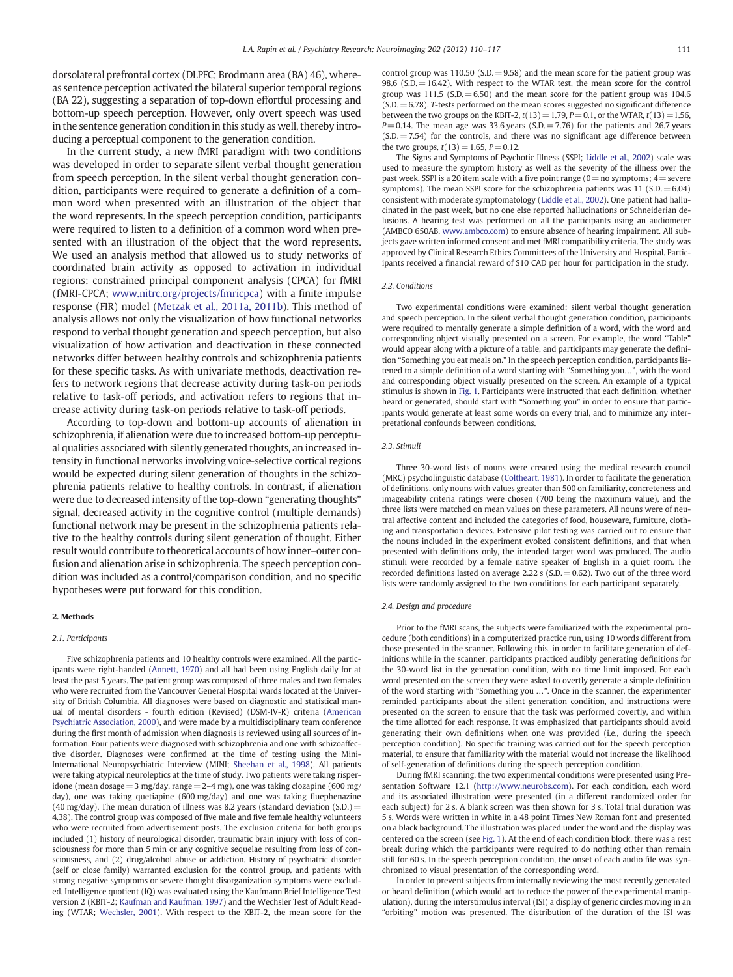dorsolateral prefrontal cortex (DLPFC; Brodmann area (BA) 46), whereas sentence perception activated the bilateral superior temporal regions (BA 22), suggesting a separation of top-down effortful processing and bottom-up speech perception. However, only overt speech was used in the sentence generation condition in this study as well, thereby introducing a perceptual component to the generation condition.

In the current study, a new fMRI paradigm with two conditions was developed in order to separate silent verbal thought generation from speech perception. In the silent verbal thought generation condition, participants were required to generate a definition of a common word when presented with an illustration of the object that the word represents. In the speech perception condition, participants were required to listen to a definition of a common word when presented with an illustration of the object that the word represents. We used an analysis method that allowed us to study networks of coordinated brain activity as opposed to activation in individual regions: constrained principal component analysis (CPCA) for fMRI (fMRI-CPCA; [www.nitrc.org/projects/fmricpca\)](http://www.nitrc.org/projects/fmricpca) with a finite impulse response (FIR) model [\(Metzak et al., 2011a, 2011b\)](#page-7-0). This method of analysis allows not only the visualization of how functional networks respond to verbal thought generation and speech perception, but also visualization of how activation and deactivation in these connected networks differ between healthy controls and schizophrenia patients for these specific tasks. As with univariate methods, deactivation refers to network regions that decrease activity during task-on periods relative to task-off periods, and activation refers to regions that increase activity during task-on periods relative to task-off periods.

According to top-down and bottom-up accounts of alienation in schizophrenia, if alienation were due to increased bottom-up perceptual qualities associated with silently generated thoughts, an increased intensity in functional networks involving voice-selective cortical regions would be expected during silent generation of thoughts in the schizophrenia patients relative to healthy controls. In contrast, if alienation were due to decreased intensity of the top-down "generating thoughts" signal, decreased activity in the cognitive control (multiple demands) functional network may be present in the schizophrenia patients relative to the healthy controls during silent generation of thought. Either result would contribute to theoretical accounts of how inner–outer confusion and alienation arise in schizophrenia. The speech perception condition was included as a control/comparison condition, and no specific hypotheses were put forward for this condition.

#### 2. Methods

### 2.1. Participants

Five schizophrenia patients and 10 healthy controls were examined. All the participants were right-handed [\(Annett, 1970\)](#page-7-0) and all had been using English daily for at least the past 5 years. The patient group was composed of three males and two females who were recruited from the Vancouver General Hospital wards located at the University of British Columbia. All diagnoses were based on diagnostic and statistical manual of mental disorders - fourth edition (Revised) (DSM-IV-R) criteria ([American](#page-7-0) [Psychiatric Association, 2000\)](#page-7-0), and were made by a multidisciplinary team conference during the first month of admission when diagnosis is reviewed using all sources of information. Four patients were diagnosed with schizophrenia and one with schizoaffective disorder. Diagnoses were confirmed at the time of testing using the Mini-International Neuropsychiatric Interview (MINI; [Sheehan et al., 1998\)](#page-7-0). All patients were taking atypical neuroleptics at the time of study. Two patients were taking risperidone (mean dosage = 3 mg/day, range =  $2-4$  mg), one was taking clozapine (600 mg/ day), one was taking quetiapine (600 mg/day) and one was taking fluephenazine (40 mg/day). The mean duration of illness was 8.2 years (standard deviation  $(S.D.)=$ 4.38). The control group was composed of five male and five female healthy volunteers who were recruited from advertisement posts. The exclusion criteria for both groups included (1) history of neurological disorder, traumatic brain injury with loss of consciousness for more than 5 min or any cognitive sequelae resulting from loss of consciousness, and (2) drug/alcohol abuse or addiction. History of psychiatric disorder (self or close family) warranted exclusion for the control group, and patients with strong negative symptoms or severe thought disorganization symptoms were excluded. Intelligence quotient (IQ) was evaluated using the Kaufmann Brief Intelligence Test version 2 (KBIT-2; [Kaufman and Kaufman, 1997](#page-7-0)) and the Wechsler Test of Adult Reading (WTAR; [Wechsler, 2001\)](#page-7-0). With respect to the KBIT-2, the mean score for the control group was 110.50 (S.D. $= 9.58$ ) and the mean score for the patient group was 98.6 (S.D. = 16.42). With respect to the WTAR test, the mean score for the control group was  $111.5$  (S.D. $= 6.50$ ) and the mean score for the patient group was 104.6 (S.D.= 6.78). T-tests performed on the mean scores suggested no significant difference between the two groups on the KBIT-2,  $t(13) = 1.79$ ,  $P = 0.1$ , or the WTAR,  $t(13) = 1.56$ ,  $P = 0.14$ . The mean age was 33.6 years (S.D. = 7.76) for the patients and 26.7 years  $(S.D. = 7.54)$  for the controls, and there was no significant age difference between the two groups,  $t(13) = 1.65$ ,  $P = 0.12$ .

The Signs and Symptoms of Psychotic Illness (SSPI; [Liddle et al., 2002\)](#page-7-0) scale was used to measure the symptom history as well as the severity of the illness over the past week. SSPI is a 20 item scale with a five point range ( $0=$  no symptoms;  $4=$  severe symptoms). The mean SSPI score for the schizophrenia patients was 11 (S.D.  $= 6.04$ ) consistent with moderate symptomatology ([Liddle et al., 2002\)](#page-7-0). One patient had hallucinated in the past week, but no one else reported hallucinations or Schneiderian delusions. A hearing test was performed on all the participants using an audiometer (AMBCO 650AB, [www.ambco.com\)](http://www.ambco.com) to ensure absence of hearing impairment. All subjects gave written informed consent and met fMRI compatibility criteria. The study was approved by Clinical Research Ethics Committees of the University and Hospital. Participants received a financial reward of \$10 CAD per hour for participation in the study.

#### 2.2. Conditions

Two experimental conditions were examined: silent verbal thought generation and speech perception. In the silent verbal thought generation condition, participants were required to mentally generate a simple definition of a word, with the word and corresponding object visually presented on a screen. For example, the word "Table" would appear along with a picture of a table, and participants may generate the definition "Something you eat meals on." In the speech perception condition, participants listened to a simple definition of a word starting with "Something you…", with the word and corresponding object visually presented on the screen. An example of a typical stimulus is shown in [Fig. 1](#page-2-0). Participants were instructed that each definition, whether heard or generated, should start with "Something you" in order to ensure that participants would generate at least some words on every trial, and to minimize any interpretational confounds between conditions.

#### 2.3. Stimuli

Three 30-word lists of nouns were created using the medical research council (MRC) psycholinguistic database ([Coltheart, 1981\)](#page-7-0). In order to facilitate the generation of definitions, only nouns with values greater than 500 on familiarity, concreteness and imageability criteria ratings were chosen (700 being the maximum value), and the three lists were matched on mean values on these parameters. All nouns were of neutral affective content and included the categories of food, houseware, furniture, clothing and transportation devices. Extensive pilot testing was carried out to ensure that the nouns included in the experiment evoked consistent definitions, and that when presented with definitions only, the intended target word was produced. The audio stimuli were recorded by a female native speaker of English in a quiet room. The recorded definitions lasted on average 2.22 s  $(S.D. = 0.62)$ . Two out of the three word lists were randomly assigned to the two conditions for each participant separately.

#### 2.4. Design and procedure

Prior to the fMRI scans, the subjects were familiarized with the experimental procedure (both conditions) in a computerized practice run, using 10 words different from those presented in the scanner. Following this, in order to facilitate generation of definitions while in the scanner, participants practiced audibly generating definitions for the 30-word list in the generation condition, with no time limit imposed. For each word presented on the screen they were asked to overtly generate a simple definition of the word starting with "Something you …". Once in the scanner, the experimenter reminded participants about the silent generation condition, and instructions were presented on the screen to ensure that the task was performed covertly, and within the time allotted for each response. It was emphasized that participants should avoid generating their own definitions when one was provided (i.e., during the speech perception condition). No specific training was carried out for the speech perception material, to ensure that familiarity with the material would not increase the likelihood of self-generation of definitions during the speech perception condition.

During fMRI scanning, the two experimental conditions were presented using Presentation Software 12.1 ([http://www.neurobs.com\)](http://www.neurobs.com). For each condition, each word and its associated illustration were presented (in a different randomized order for each subject) for 2 s. A blank screen was then shown for 3 s. Total trial duration was 5 s. Words were written in white in a 48 point Times New Roman font and presented on a black background. The illustration was placed under the word and the display was centered on the screen (see [Fig. 1](#page-2-0)). At the end of each condition block, there was a rest break during which the participants were required to do nothing other than remain still for 60 s. In the speech perception condition, the onset of each audio file was synchronized to visual presentation of the corresponding word.

In order to prevent subjects from internally reviewing the most recently generated or heard definition (which would act to reduce the power of the experimental manipulation), during the interstimulus interval (ISI) a display of generic circles moving in an "orbiting" motion was presented. The distribution of the duration of the ISI was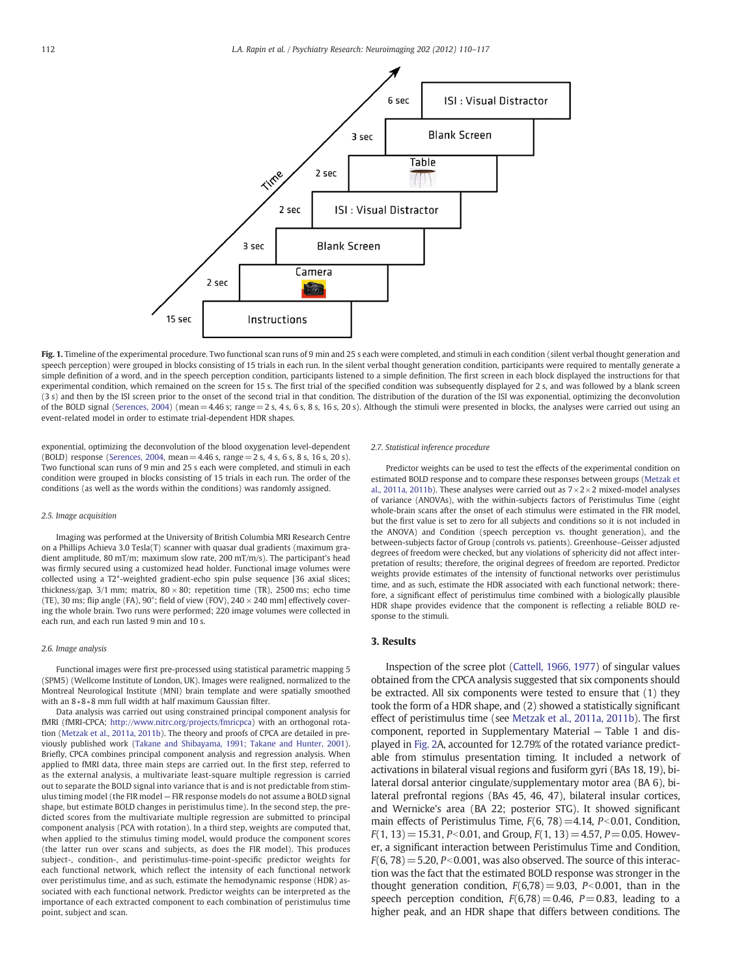<span id="page-2-0"></span>

Fig. 1. Timeline of the experimental procedure. Two functional scan runs of 9 min and 25 s each were completed, and stimuli in each condition (silent verbal thought generation and speech perception) were grouped in blocks consisting of 15 trials in each run. In the silent verbal thought generation condition, participants were required to mentally generate a simple definition of a word, and in the speech perception condition, participants listened to a simple definition. The first screen in each block displayed the instructions for that experimental condition, which remained on the screen for 15 s. The first trial of the specified condition was subsequently displayed for 2 s, and was followed by a blank screen (3 s) and then by the ISI screen prior to the onset of the second trial in that condition. The distribution of the duration of the ISI was exponential, optimizing the deconvolution of the BOLD signal ([Serences, 2004\)](#page-7-0) (mean = 4.46 s; range = 2 s, 4 s, 6 s, 8 s, 16 s, 20 s). Although the stimuli were presented in blocks, the analyses were carried out using an event-related model in order to estimate trial-dependent HDR shapes.

exponential, optimizing the deconvolution of the blood oxygenation level-dependent (BOLD) response ([Serences, 2004,](#page-7-0) mean =  $4.46$  s, range =  $2$  s,  $4$  s,  $6$  s,  $8$  s,  $16$  s,  $20$  s). Two functional scan runs of 9 min and 25 s each were completed, and stimuli in each condition were grouped in blocks consisting of 15 trials in each run. The order of the conditions (as well as the words within the conditions) was randomly assigned.

#### 2.5. Image acquisition

Imaging was performed at the University of British Columbia MRI Research Centre on a Phillips Achieva 3.0 Tesla(T) scanner with quasar dual gradients (maximum gradient amplitude, 80 mT/m; maximum slow rate, 200 mT/m/s). The participant's head was firmly secured using a customized head holder. Functional image volumes were collected using a T2\*-weighted gradient-echo spin pulse sequence [36 axial slices; thickness/gap,  $3/1$  mm; matrix,  $80 \times 80$ ; repetition time (TR), 2500 ms; echo time (TE), 30 ms; flip angle (FA), 90°; field of view (FOV), 240  $\times$  240 mm] effectively covering the whole brain. Two runs were performed; 220 image volumes were collected in each run, and each run lasted 9 min and 10 s.

#### 2.6. Image analysis

Functional images were first pre-processed using statistical parametric mapping 5 (SPM5) (Wellcome Institute of London, UK). Images were realigned, normalized to the Montreal Neurological Institute (MNI) brain template and were spatially smoothed with an 8∗8∗8 mm full width at half maximum Gaussian filter.

Data analysis was carried out using constrained principal component analysis for fMRI (fMRI-CPCA; [http://www.nitrc.org/projects/fmricpca\)](http://www.nitrc.org/projects/fmricpca) with an orthogonal rotation [\(Metzak et al., 2011a, 2011b\)](#page-7-0). The theory and proofs of CPCA are detailed in previously published work [\(Takane and Shibayama, 1991; Takane and Hunter, 2001\)](#page-7-0). Briefly, CPCA combines principal component analysis and regression analysis. When applied to fMRI data, three main steps are carried out. In the first step, referred to as the external analysis, a multivariate least-square multiple regression is carried out to separate the BOLD signal into variance that is and is not predictable from stimulus timing model (the FIR model — FIR response models do not assume a BOLD signal shape, but estimate BOLD changes in peristimulus time). In the second step, the predicted scores from the multivariate multiple regression are submitted to principal component analysis (PCA with rotation). In a third step, weights are computed that, when applied to the stimulus timing model, would produce the component scores (the latter run over scans and subjects, as does the FIR model). This produces subject-, condition-, and peristimulus-time-point-specific predictor weights for each functional network, which reflect the intensity of each functional network over peristimulus time, and as such, estimate the hemodynamic response (HDR) associated with each functional network. Predictor weights can be interpreted as the importance of each extracted component to each combination of peristimulus time point, subject and scan.

#### 2.7. Statistical inference procedure

Predictor weights can be used to test the effects of the experimental condition on estimated BOLD response and to compare these responses between groups ([Metzak et](#page-7-0) [al., 2011a, 2011b](#page-7-0)). These analyses were carried out as  $7 \times 2 \times 2$  mixed-model analyses of variance (ANOVAs), with the within-subjects factors of Peristimulus Time (eight whole-brain scans after the onset of each stimulus were estimated in the FIR model, but the first value is set to zero for all subjects and conditions so it is not included in the ANOVA) and Condition (speech perception vs. thought generation), and the between-subjects factor of Group (controls vs. patients). Greenhouse–Geisser adjusted degrees of freedom were checked, but any violations of sphericity did not affect interpretation of results; therefore, the original degrees of freedom are reported. Predictor weights provide estimates of the intensity of functional networks over peristimulus time, and as such, estimate the HDR associated with each functional network; therefore, a significant effect of peristimulus time combined with a biologically plausible HDR shape provides evidence that the component is reflecting a reliable BOLD response to the stimuli.

# 3. Results

Inspection of the scree plot [\(Cattell, 1966, 1977\)](#page-7-0) of singular values obtained from the CPCA analysis suggested that six components should be extracted. All six components were tested to ensure that (1) they took the form of a HDR shape, and (2) showed a statistically significant effect of peristimulus time (see [Metzak et al., 2011a, 2011b](#page-7-0)). The first component, reported in Supplementary Material — Table 1 and displayed in [Fig. 2](#page-3-0)A, accounted for 12.79% of the rotated variance predictable from stimulus presentation timing. It included a network of activations in bilateral visual regions and fusiform gyri (BAs 18, 19), bilateral dorsal anterior cingulate/supplementary motor area (BA 6), bilateral prefrontal regions (BAs 45, 46, 47), bilateral insular cortices, and Wernicke's area (BA 22; posterior STG). It showed significant main effects of Peristimulus Time,  $F(6, 78) = 4.14$ ,  $P < 0.01$ , Condition,  $F(1, 13)=15.31, P<0.01$ , and Group,  $F(1, 13)=4.57, P=0.05$ . However, a significant interaction between Peristimulus Time and Condition,  $F(6, 78) = 5.20$ , P<0.001, was also observed. The source of this interaction was the fact that the estimated BOLD response was stronger in the thought generation condition,  $F(6,78)=9.03$ , P<0.001, than in the speech perception condition,  $F(6,78)=0.46$ ,  $P=0.83$ , leading to a higher peak, and an HDR shape that differs between conditions. The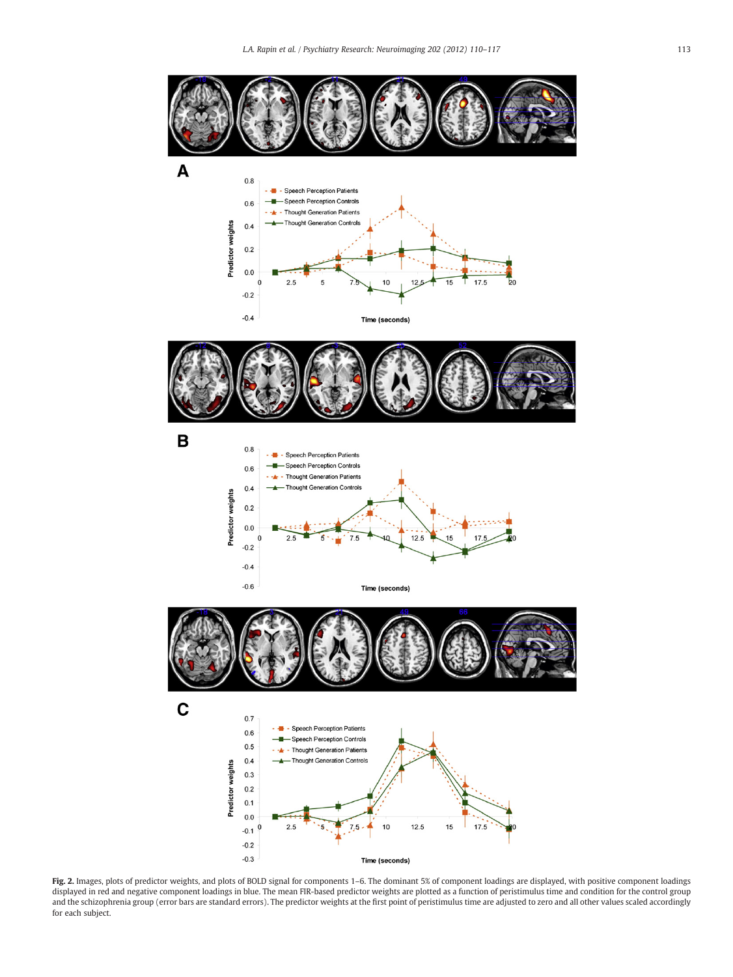<span id="page-3-0"></span>



B





Fig. 2. Images, plots of predictor weights, and plots of BOLD signal for components 1-6. The dominant 5% of component loadings are displayed, with positive component loadings displayed in red and negative component loadings in blue. The mean FIR-based predictor weights are plotted as a function of peristimulus time and condition for the control group and the schizophrenia group (error bars are standard errors). The predictor weights at the first point of peristimulus time are adjusted to zero and all other values scaled accordingly for each subject.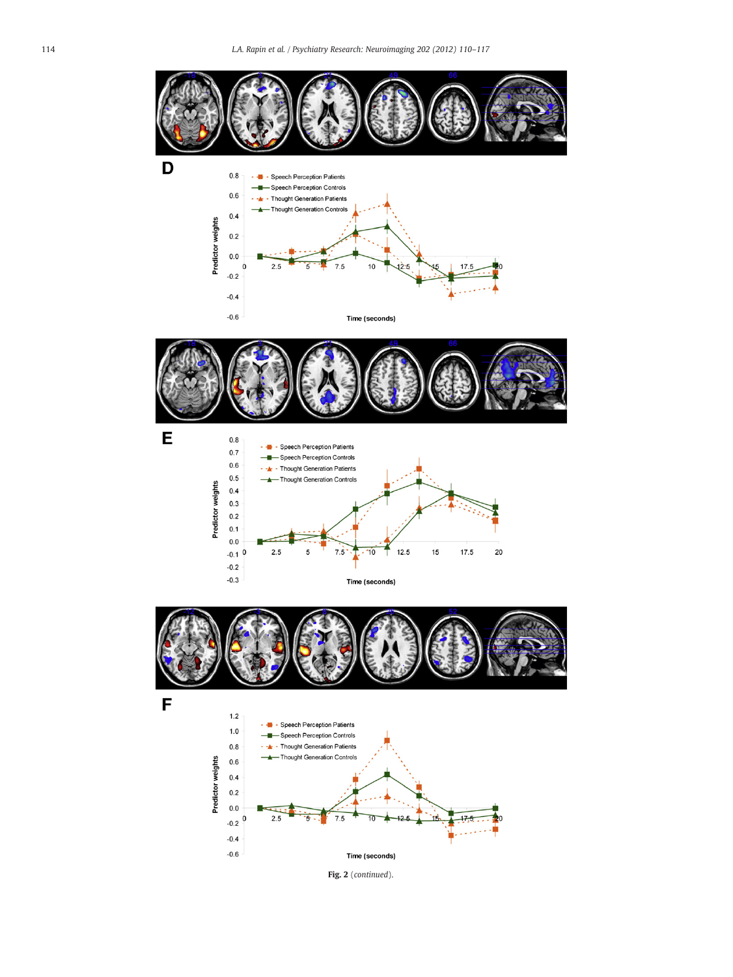







F

E



Fig. 2 (continued).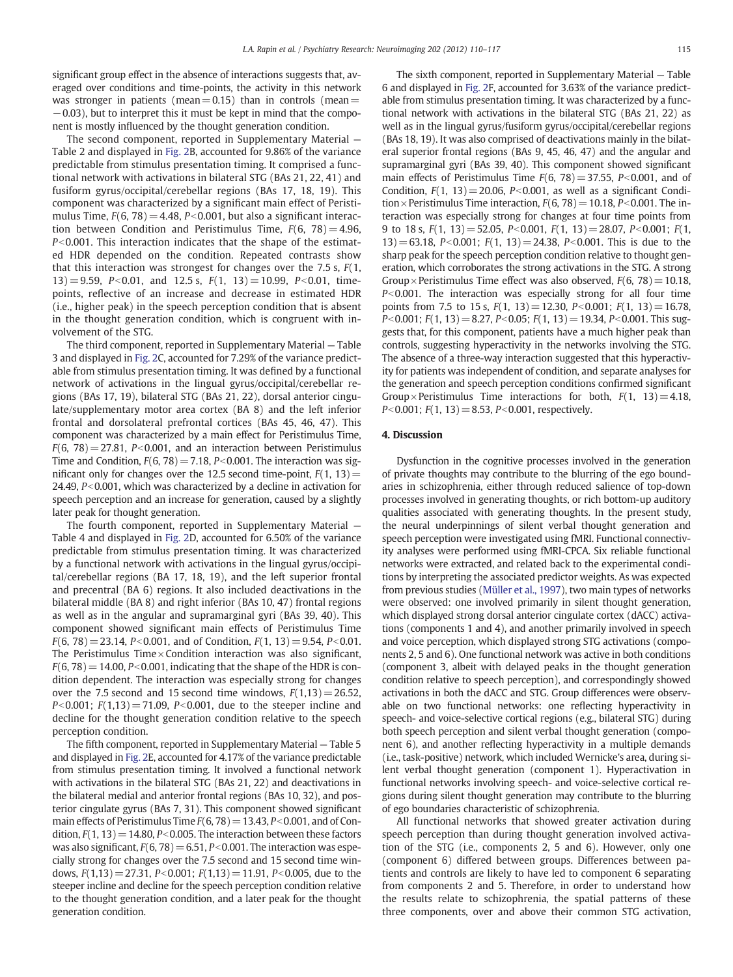significant group effect in the absence of interactions suggests that, averaged over conditions and time-points, the activity in this network was stronger in patients (mean=0.15) than in controls (mean=  $-0.03$ ), but to interpret this it must be kept in mind that the component is mostly influenced by the thought generation condition.

The second component, reported in Supplementary Material — Table 2 and displayed in [Fig. 2](#page-3-0)B, accounted for 9.86% of the variance predictable from stimulus presentation timing. It comprised a functional network with activations in bilateral STG (BAs 21, 22, 41) and fusiform gyrus/occipital/cerebellar regions (BAs 17, 18, 19). This component was characterized by a significant main effect of Peristimulus Time,  $F(6, 78) = 4.48$ ,  $P<0.001$ , but also a significant interaction between Condition and Peristimulus Time,  $F(6, 78) = 4.96$ ,  $P$ <0.001. This interaction indicates that the shape of the estimated HDR depended on the condition. Repeated contrasts show that this interaction was strongest for changes over the 7.5 s,  $F(1, 1)$  $13$ ) = 9.59, P<0.01, and 12.5 s, F(1, 13) = 10.99, P<0.01, timepoints, reflective of an increase and decrease in estimated HDR (i.e., higher peak) in the speech perception condition that is absent in the thought generation condition, which is congruent with involvement of the STG.

The third component, reported in Supplementary Material — Table 3 and displayed in [Fig. 2](#page-3-0)C, accounted for 7.29% of the variance predictable from stimulus presentation timing. It was defined by a functional network of activations in the lingual gyrus/occipital/cerebellar regions (BAs 17, 19), bilateral STG (BAs 21, 22), dorsal anterior cingulate/supplementary motor area cortex (BA 8) and the left inferior frontal and dorsolateral prefrontal cortices (BAs 45, 46, 47). This component was characterized by a main effect for Peristimulus Time,  $F(6, 78) = 27.81$ , P<0.001, and an interaction between Peristimulus Time and Condition,  $F(6, 78) = 7.18$ , P<0.001. The interaction was significant only for changes over the 12.5 second time-point,  $F(1, 13)$  = 24.49,  $P<0.001$ , which was characterized by a decline in activation for speech perception and an increase for generation, caused by a slightly later peak for thought generation.

The fourth component, reported in Supplementary Material — Table 4 and displayed in [Fig. 2D](#page-3-0), accounted for 6.50% of the variance predictable from stimulus presentation timing. It was characterized by a functional network with activations in the lingual gyrus/occipital/cerebellar regions (BA 17, 18, 19), and the left superior frontal and precentral (BA 6) regions. It also included deactivations in the bilateral middle (BA 8) and right inferior (BAs 10, 47) frontal regions as well as in the angular and supramarginal gyri (BAs 39, 40). This component showed significant main effects of Peristimulus Time  $F(6, 78) = 23.14$ , P<0.001, and of Condition,  $F(1, 13) = 9.54$ , P<0.01. The Peristimulus Time  $\times$  Condition interaction was also significant,  $F(6, 78) = 14.00$ , P<0.001, indicating that the shape of the HDR is condition dependent. The interaction was especially strong for changes over the 7.5 second and 15 second time windows,  $F(1,13) = 26.52$ ,  $P < 0.001$ ;  $F(1,13) = 71.09$ ,  $P < 0.001$ , due to the steeper incline and decline for the thought generation condition relative to the speech perception condition.

The fifth component, reported in Supplementary Material — Table 5 and displayed in [Fig. 2](#page-3-0)E, accounted for 4.17% of the variance predictable from stimulus presentation timing. It involved a functional network with activations in the bilateral STG (BAs 21, 22) and deactivations in the bilateral medial and anterior frontal regions (BAs 10, 32), and posterior cingulate gyrus (BAs 7, 31). This component showed significant main effects of Peristimulus Time  $F(6, 78)=13.43$ ,  $P<0.001$ , and of Condition,  $F(1, 13) = 14.80$ , P<0.005. The interaction between these factors was also significant,  $F(6, 78) = 6.51$ ,  $P < 0.001$ . The interaction was especially strong for changes over the 7.5 second and 15 second time windows,  $F(1,13)=27.31$ ,  $P<0.001$ ;  $F(1,13)=11.91$ ,  $P<0.005$ , due to the steeper incline and decline for the speech perception condition relative to the thought generation condition, and a later peak for the thought generation condition.

The sixth component, reported in Supplementary Material — Table 6 and displayed in [Fig. 2](#page-3-0)F, accounted for 3.63% of the variance predictable from stimulus presentation timing. It was characterized by a functional network with activations in the bilateral STG (BAs 21, 22) as well as in the lingual gyrus/fusiform gyrus/occipital/cerebellar regions (BAs 18, 19). It was also comprised of deactivations mainly in the bilateral superior frontal regions (BAs 9, 45, 46, 47) and the angular and supramarginal gyri (BAs 39, 40). This component showed significant main effects of Peristimulus Time  $F(6, 78) = 37.55$ , P<0.001, and of Condition,  $F(1, 13) = 20.06$ , P<0.001, as well as a significant Condition  $\times$  Peristimulus Time interaction,  $F(6, 78) = 10.18$ , P<0.001. The interaction was especially strong for changes at four time points from 9 to 18 s,  $F(1, 13) = 52.05$ ,  $P<0.001$ ,  $F(1, 13) = 28.07$ ,  $P<0.001$ ;  $F(1, 13) = 28.07$ 13) = 63.18, P<0.001; F(1, 13) = 24.38, P<0.001. This is due to the sharp peak for the speech perception condition relative to thought generation, which corroborates the strong activations in the STG. A strong Group × Peristimulus Time effect was also observed,  $F(6, 78) = 10.18$ ,  $P<0.001$ . The interaction was especially strong for all four time points from 7.5 to 15 s,  $F(1, 13) = 12.30$ ,  $P<0.001$ ;  $F(1, 13) = 16.78$ ,  $P<0.001$ ; F(1, 13) = 8.27, P $<$ 0.05; F(1, 13) = 19.34, P $<$ 0.001. This suggests that, for this component, patients have a much higher peak than controls, suggesting hyperactivity in the networks involving the STG. The absence of a three-way interaction suggested that this hyperactivity for patients was independent of condition, and separate analyses for the generation and speech perception conditions confirmed significant Group×Peristimulus Time interactions for both,  $F(1, 13) = 4.18$ ,  $P<0.001$ ;  $F(1, 13) = 8.53$ ,  $P<0.001$ , respectively.

# 4. Discussion

Dysfunction in the cognitive processes involved in the generation of private thoughts may contribute to the blurring of the ego boundaries in schizophrenia, either through reduced salience of top-down processes involved in generating thoughts, or rich bottom-up auditory qualities associated with generating thoughts. In the present study, the neural underpinnings of silent verbal thought generation and speech perception were investigated using fMRI. Functional connectivity analyses were performed using fMRI-CPCA. Six reliable functional networks were extracted, and related back to the experimental conditions by interpreting the associated predictor weights. As was expected from previous studies [\(Müller et al., 1997\)](#page-7-0), two main types of networks were observed: one involved primarily in silent thought generation, which displayed strong dorsal anterior cingulate cortex (dACC) activations (components 1 and 4), and another primarily involved in speech and voice perception, which displayed strong STG activations (components 2, 5 and 6). One functional network was active in both conditions (component 3, albeit with delayed peaks in the thought generation condition relative to speech perception), and correspondingly showed activations in both the dACC and STG. Group differences were observable on two functional networks: one reflecting hyperactivity in speech- and voice-selective cortical regions (e.g., bilateral STG) during both speech perception and silent verbal thought generation (component 6), and another reflecting hyperactivity in a multiple demands (i.e., task-positive) network, which included Wernicke's area, during silent verbal thought generation (component 1). Hyperactivation in functional networks involving speech- and voice-selective cortical regions during silent thought generation may contribute to the blurring of ego boundaries characteristic of schizophrenia.

All functional networks that showed greater activation during speech perception than during thought generation involved activation of the STG (i.e., components 2, 5 and 6). However, only one (component 6) differed between groups. Differences between patients and controls are likely to have led to component 6 separating from components 2 and 5. Therefore, in order to understand how the results relate to schizophrenia, the spatial patterns of these three components, over and above their common STG activation,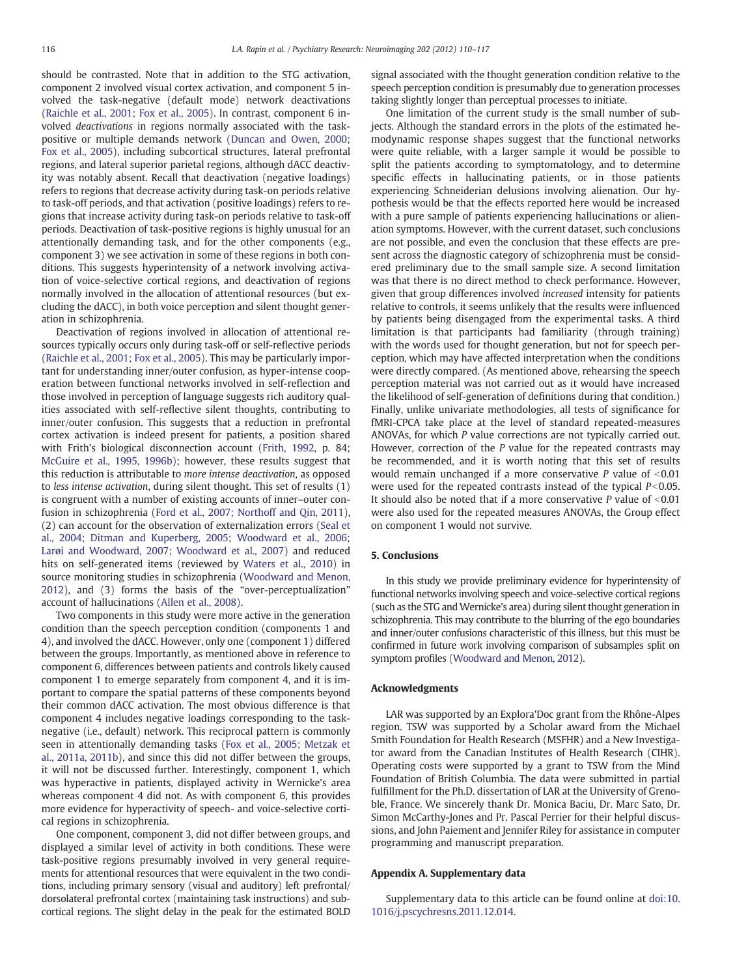should be contrasted. Note that in addition to the STG activation, component 2 involved visual cortex activation, and component 5 involved the task-negative (default mode) network deactivations [\(Raichle et al., 2001; Fox et al., 2005](#page-7-0)). In contrast, component 6 involved deactivations in regions normally associated with the taskpositive or multiple demands network ([Duncan and Owen, 2000;](#page-7-0) [Fox et al., 2005\)](#page-7-0), including subcortical structures, lateral prefrontal regions, and lateral superior parietal regions, although dACC deactivity was notably absent. Recall that deactivation (negative loadings) refers to regions that decrease activity during task-on periods relative to task-off periods, and that activation (positive loadings) refers to regions that increase activity during task-on periods relative to task-off periods. Deactivation of task-positive regions is highly unusual for an attentionally demanding task, and for the other components (e.g., component 3) we see activation in some of these regions in both conditions. This suggests hyperintensity of a network involving activation of voice-selective cortical regions, and deactivation of regions normally involved in the allocation of attentional resources (but excluding the dACC), in both voice perception and silent thought generation in schizophrenia.

Deactivation of regions involved in allocation of attentional resources typically occurs only during task-off or self-reflective periods [\(Raichle et al., 2001; Fox et al., 2005](#page-7-0)). This may be particularly important for understanding inner/outer confusion, as hyper-intense cooperation between functional networks involved in self-reflection and those involved in perception of language suggests rich auditory qualities associated with self-reflective silent thoughts, contributing to inner/outer confusion. This suggests that a reduction in prefrontal cortex activation is indeed present for patients, a position shared with Frith's biological disconnection account ([Frith, 1992](#page-7-0), p. 84; [McGuire et al., 1995, 1996b\)](#page-7-0); however, these results suggest that this reduction is attributable to more intense deactivation, as opposed to less intense activation, during silent thought. This set of results (1) is congruent with a number of existing accounts of inner–outer confusion in schizophrenia ([Ford et al., 2007; Northoff and Qin, 2011](#page-7-0)), (2) can account for the observation of externalization errors ([Seal et](#page-7-0) [al., 2004; Ditman and Kuperberg, 2005; Woodward et al., 2006;](#page-7-0) [Larøi and Woodward, 2007; Woodward et al., 2007\)](#page-7-0) and reduced hits on self-generated items (reviewed by [Waters et al., 2010](#page-7-0)) in source monitoring studies in schizophrenia [\(Woodward and Menon,](#page-7-0) [2012\)](#page-7-0), and (3) forms the basis of the "over-perceptualization" account of hallucinations ([Allen et al., 2008](#page-7-0)).

Two components in this study were more active in the generation condition than the speech perception condition (components 1 and 4), and involved the dACC. However, only one (component 1) differed between the groups. Importantly, as mentioned above in reference to component 6, differences between patients and controls likely caused component 1 to emerge separately from component 4, and it is important to compare the spatial patterns of these components beyond their common dACC activation. The most obvious difference is that component 4 includes negative loadings corresponding to the tasknegative (i.e., default) network. This reciprocal pattern is commonly seen in attentionally demanding tasks [\(Fox et al., 2005; Metzak et](#page-7-0) [al., 2011a, 2011b](#page-7-0)), and since this did not differ between the groups, it will not be discussed further. Interestingly, component 1, which was hyperactive in patients, displayed activity in Wernicke's area whereas component 4 did not. As with component 6, this provides more evidence for hyperactivity of speech- and voice-selective cortical regions in schizophrenia.

One component, component 3, did not differ between groups, and displayed a similar level of activity in both conditions. These were task-positive regions presumably involved in very general requirements for attentional resources that were equivalent in the two conditions, including primary sensory (visual and auditory) left prefrontal/ dorsolateral prefrontal cortex (maintaining task instructions) and subcortical regions. The slight delay in the peak for the estimated BOLD signal associated with the thought generation condition relative to the speech perception condition is presumably due to generation processes taking slightly longer than perceptual processes to initiate.

One limitation of the current study is the small number of subjects. Although the standard errors in the plots of the estimated hemodynamic response shapes suggest that the functional networks were quite reliable, with a larger sample it would be possible to split the patients according to symptomatology, and to determine specific effects in hallucinating patients, or in those patients experiencing Schneiderian delusions involving alienation. Our hypothesis would be that the effects reported here would be increased with a pure sample of patients experiencing hallucinations or alienation symptoms. However, with the current dataset, such conclusions are not possible, and even the conclusion that these effects are present across the diagnostic category of schizophrenia must be considered preliminary due to the small sample size. A second limitation was that there is no direct method to check performance. However, given that group differences involved increased intensity for patients relative to controls, it seems unlikely that the results were influenced by patients being disengaged from the experimental tasks. A third limitation is that participants had familiarity (through training) with the words used for thought generation, but not for speech perception, which may have affected interpretation when the conditions were directly compared. (As mentioned above, rehearsing the speech perception material was not carried out as it would have increased the likelihood of self-generation of definitions during that condition.) Finally, unlike univariate methodologies, all tests of significance for fMRI-CPCA take place at the level of standard repeated-measures ANOVAs, for which P value corrections are not typically carried out. However, correction of the  $P$  value for the repeated contrasts may be recommended, and it is worth noting that this set of results would remain unchanged if a more conservative  $P$  value of  $\leq 0.01$ were used for the repeated contrasts instead of the typical  $P<0.05$ . It should also be noted that if a more conservative  $P$  value of  $\leq 0.01$ were also used for the repeated measures ANOVAs, the Group effect on component 1 would not survive.

# 5. Conclusions

In this study we provide preliminary evidence for hyperintensity of functional networks involving speech and voice-selective cortical regions (such as the STG andWernicke's area) during silent thought generation in schizophrenia. This may contribute to the blurring of the ego boundaries and inner/outer confusions characteristic of this illness, but this must be confirmed in future work involving comparison of subsamples split on symptom profiles [\(Woodward and Menon, 2012](#page-7-0)).

#### Acknowledgments

LAR was supported by an Explora'Doc grant from the Rhône-Alpes region. TSW was supported by a Scholar award from the Michael Smith Foundation for Health Research (MSFHR) and a New Investigator award from the Canadian Institutes of Health Research (CIHR). Operating costs were supported by a grant to TSW from the Mind Foundation of British Columbia. The data were submitted in partial fulfillment for the Ph.D. dissertation of LAR at the University of Grenoble, France. We sincerely thank Dr. Monica Baciu, Dr. Marc Sato, Dr. Simon McCarthy-Jones and Pr. Pascal Perrier for their helpful discussions, and John Paiement and Jennifer Riley for assistance in computer programming and manuscript preparation.

# Appendix A. Supplementary data

Supplementary data to this article can be found online at [doi:10.](doi:10.1016/j.pscychresns.2011.12.014) [1016/j.pscychresns.2011.12.014](doi:10.1016/j.pscychresns.2011.12.014).